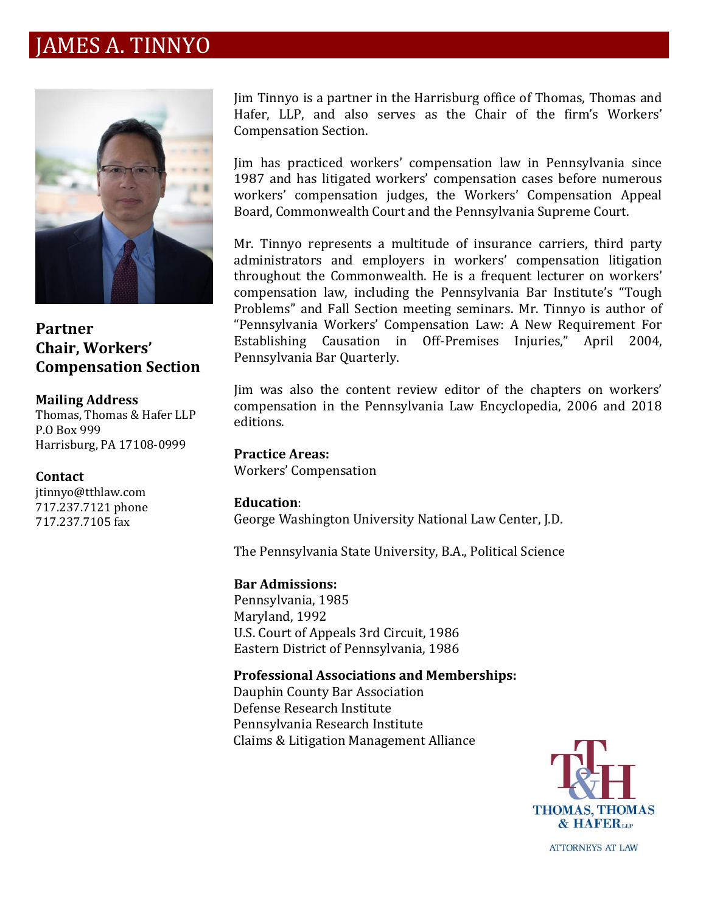## JAMES A. TINNYO



**Partner Chair, Workers' Compensation Section**

#### **Mailing Address**

Thomas, Thomas & Hafer LLP P.O Box 999 Harrisburg, PA 17108-0999

### **Contact**

jtinnyo@tthlaw.com 717.237.7121 phone 717.237.7105 fax

Jim Tinnyo is a partner in the Harrisburg office of Thomas, Thomas and Hafer, LLP, and also serves as the Chair of the firm's Workers' Compensation Section.

Jim has practiced workers' compensation law in Pennsylvania since 1987 and has litigated workers' compensation cases before numerous workers' compensation judges, the Workers' Compensation Appeal Board, Commonwealth Court and the Pennsylvania Supreme Court.

Mr. Tinnyo represents a multitude of insurance carriers, third party administrators and employers in workers' compensation litigation throughout the Commonwealth. He is a frequent lecturer on workers' compensation law, including the Pennsylvania Bar Institute's "Tough Problems" and Fall Section meeting seminars. Mr. Tinnyo is author of "Pennsylvania Workers' Compensation Law: A New Requirement For Establishing Causation in Off-Premises Injuries," April 2004, Pennsylvania Bar Quarterly.

Jim was also the content review editor of the chapters on workers' compensation in the Pennsylvania Law Encyclopedia, 2006 and 2018 editions.

**Practice Areas:**  Workers' Compensation

### **Education**:

George Washington University National Law Center, J.D.

The Pennsylvania State University, B.A., Political Science

### **Bar Admissions:**

Pennsylvania, 1985 Maryland, 1992 U.S. Court of Appeals 3rd Circuit, 1986 Eastern District of Pennsylvania, 1986

**Professional Associations and Memberships:** Dauphin County Bar Association

Defense Research Institute Pennsylvania Research Institute Claims & Litigation Management Alliance



**ATTORNEYS AT LAW**